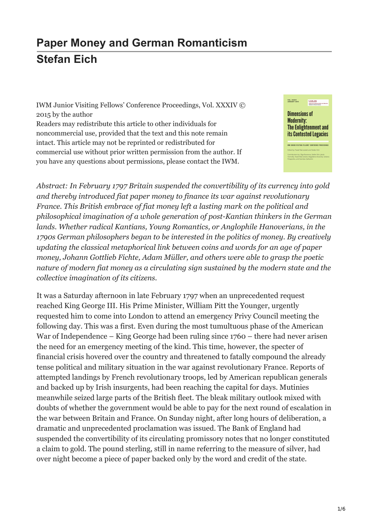## **Paper Money and German Romanticism [Stefan Eich](https://www.iwm.at/publications/5-junior-visiting-fellows-conferences/vol-xxxiv/paper-money-and-german-romanticism/)**

IWM Junior Visiting Fellows' Conference Proceedings, Vol. XXXIV © 2015 by the author Readers may redistribute this article to other individuals for noncommercial use, provided that the text and this note remain intact. This article may not be reprinted or redistributed for commercial use without prior written permission from the author. If you have any questions about permissions, please contact the IWM.



*Abstract: In February 1797 Britain suspended the convertibility of its currency into gold and thereby introduced fiat paper money to finance its war against revolutionary France. This British embrace of fiat money left a lasting mark on the political and philosophical imagination of a whole generation of post-Kantian thinkers in the German lands. Whether radical Kantians, Young Romantics, or Anglophile Hanoverians, in the 1790s German philosophers began to be interested in the politics of money. By creatively updating the classical metaphorical link between coins and words for an age of paper money, Johann Gottlieb Fichte, Adam Müller, and others were able to grasp the poetic nature of modern fiat money as a circulating sign sustained by the modern state and the collective imagination of its citizens.*

It was a Saturday afternoon in late February 1797 when an unprecedented request reached King George III. His Prime Minister, William Pitt the Younger, urgently requested him to come into London to attend an emergency Privy Council meeting the following day. This was a first. Even during the most tumultuous phase of the American War of Independence – King George had been ruling since 1760 – there had never arisen the need for an emergency meeting of the kind. This time, however, the specter of financial crisis hovered over the country and threatened to fatally compound the already tense political and military situation in the war against revolutionary France. Reports of attempted landings by French revolutionary troops, led by American republican generals and backed up by Irish insurgents, had been reaching the capital for days. Mutinies meanwhile seized large parts of the British fleet. The bleak military outlook mixed with doubts of whether the government would be able to pay for the next round of escalation in the war between Britain and France. On Sunday night, after long hours of deliberation, a dramatic and unprecedented proclamation was issued. The Bank of England had suspended the convertibility of its circulating promissory notes that no longer constituted a claim to gold. The pound sterling, still in name referring to the measure of silver, had over night become a piece of paper backed only by the word and credit of the state.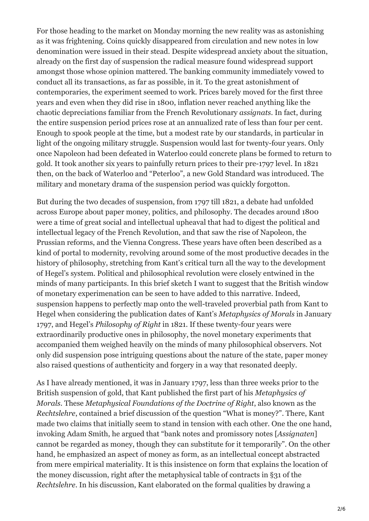For those heading to the market on Monday morning the new reality was as astonishing as it was frightening. Coins quickly disappeared from circulation and new notes in low denomination were issued in their stead. Despite widespread anxiety about the situation, already on the first day of suspension the radical measure found widespread support amongst those whose opinion mattered. The banking community immediately vowed to conduct all its transactions, as far as possible, in it. To the great astonishment of contemporaries, the experiment seemed to work. Prices barely moved for the first three years and even when they did rise in 1800, inflation never reached anything like the chaotic depreciations familiar from the French Revolutionary *assignats*. In fact, during the entire suspension period prices rose at an annualized rate of less than four per cent. Enough to spook people at the time, but a modest rate by our standards, in particular in light of the ongoing military struggle. Suspension would last for twenty-four years. Only once Napoleon had been defeated in Waterloo could concrete plans be formed to return to gold. It took another six years to painfully return prices to their pre-1797 level. In 1821 then, on the back of Waterloo and "Peterloo", a new Gold Standard was introduced. The military and monetary drama of the suspension period was quickly forgotton.

But during the two decades of suspension, from 1797 till 1821, a debate had unfolded across Europe about paper money, politics, and philosophy. The decades around 1800 were a time of great social and intellectual upheaval that had to digest the political and intellectual legacy of the French Revolution, and that saw the rise of Napoleon, the Prussian reforms, and the Vienna Congress. These years have often been described as a kind of portal to modernity, revolving around some of the most productive decades in the history of philosophy, stretching from Kant's critical turn all the way to the development of Hegel's system. Political and philosophical revolution were closely entwined in the minds of many participants. In this brief sketch I want to suggest that the British window of monetary experimenation can be seen to have added to this narrative. Indeed, suspension happens to perfectly map onto the well-traveled proverbial path from Kant to Hegel when considering the publication dates of Kant's *Metaphysics of Morals* in January 1797, and Hegel's *Philosophy of Right* in 1821. If these twenty-four years were extraordinarily productive ones in philosophy, the novel monetary experiments that accompanied them weighed heavily on the minds of many philosophical observers. Not only did suspension pose intriguing questions about the nature of the state, paper money also raised questions of authenticity and forgery in a way that resonated deeply.

As I have already mentioned, it was in January 1797, less than three weeks prior to the British suspension of gold, that Kant published the first part of his *Metaphysics of Morals*. These *Metaphysical Foundations of the Doctrine of Right*, also known as the *Rechtslehre*, contained a brief discussion of the question "What is money?". There, Kant made two claims that initially seem to stand in tension with each other. One the one hand, invoking Adam Smith, he argued that "bank notes and promissory notes [*Assignaten*] cannot be regarded as money, though they can substitute for it temporarily". On the other hand, he emphasized an aspect of money as form, as an intellectual concept abstracted from mere empirical materiality. It is this insistence on form that explains the location of the money discussion, right after the metaphysical table of contracts in §31 of the *Rechtslehre*. In his discussion, Kant elaborated on the formal qualities by drawing a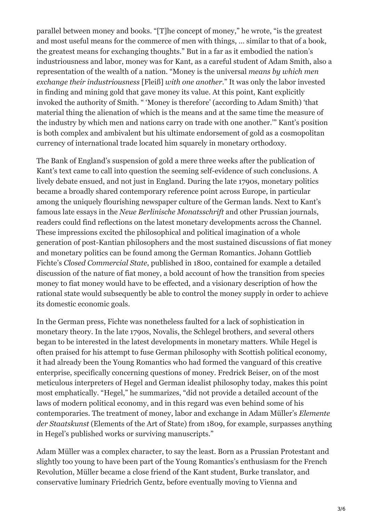parallel between money and books. "[T]he concept of money," he wrote, "is the greatest and most useful means for the commerce of men with things, … similar to that of a book, the greatest means for exchanging thoughts." But in a far as it embodied the nation's industriousness and labor, money was for Kant, as a careful student of Adam Smith, also a representation of the wealth of a nation. "Money is the universal *means by which men exchange their industriousness* [Fleiß] *with one another.*" It was only the labor invested in finding and mining gold that gave money its value. At this point, Kant explicitly invoked the authority of Smith. " 'Money is therefore' (according to Adam Smith) 'that material thing the alienation of which is the means and at the same time the measure of the industry by which men and nations carry on trade with one another.'" Kant's position is both complex and ambivalent but his ultimate endorsement of gold as a cosmopolitan currency of international trade located him squarely in monetary orthodoxy.

The Bank of England's suspension of gold a mere three weeks after the publication of Kant's text came to call into question the seeming self-evidence of such conclusions. A lively debate ensued, and not just in England. During the late 1790s, monetary politics became a broadly shared contemporary reference point across Europe, in particular among the uniquely flourishing newspaper culture of the German lands. Next to Kant's famous late essays in the *Neue Berlinische Monatsschrift* and other Prussian journals, readers could find reflections on the latest monetary developments across the Channel. These impressions excited the philosophical and political imagination of a whole generation of post-Kantian philosophers and the most sustained discussions of fiat money and monetary politics can be found among the German Romantics. Johann Gottlieb Fichte's *Closed Commercial State*, published in 1800, contained for example a detailed discussion of the nature of fiat money, a bold account of how the transition from species money to fiat money would have to be effected, and a visionary description of how the rational state would subsequently be able to control the money supply in order to achieve its domestic economic goals.

In the German press, Fichte was nonetheless faulted for a lack of sophistication in monetary theory. In the late 1790s, Novalis, the Schlegel brothers, and several others began to be interested in the latest developments in monetary matters. While Hegel is often praised for his attempt to fuse German philosophy with Scottish political economy, it had already been the Young Romantics who had formed the vanguard of this creative enterprise, specifically concerning questions of money. Fredrick Beiser, on of the most meticulous interpreters of Hegel and German idealist philosophy today, makes this point most emphatically. "Hegel," he summarizes, "did not provide a detailed account of the laws of modern political economy, and in this regard was even behind some of his contemporaries. The treatment of money, labor and exchange in Adam Müller's *Elemente der Staatskunst* (Elements of the Art of State) from 1809, for example, surpasses anything in Hegel's published works or surviving manuscripts."

Adam Müller was a complex character, to say the least. Born as a Prussian Protestant and slightly too young to have been part of the Young Romantics's enthusiasm for the French Revolution, Müller became a close friend of the Kant student, Burke translator, and conservative luminary Friedrich Gentz, before eventually moving to Vienna and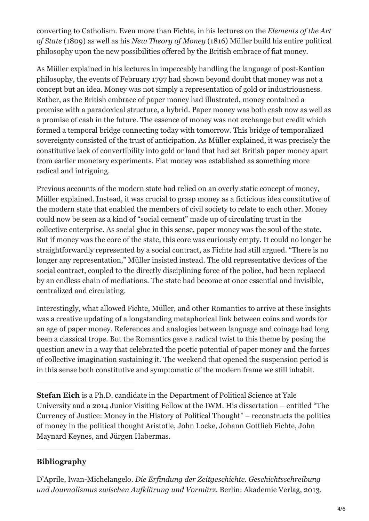converting to Catholism. Even more than Fichte, in his lectures on the *Elements of the Art of State* (1809) as well as his *New Theory of Money* (1816) Müller build his entire political philosophy upon the new possibilities offered by the British embrace of fiat money.

As Müller explained in his lectures in impeccably handling the language of post-Kantian philosophy, the events of February 1797 had shown beyond doubt that money was not a concept but an idea. Money was not simply a representation of gold or industriousness. Rather, as the British embrace of paper money had illustrated, money contained a promise with a paradoxical structure, a hybrid. Paper money was both cash now as well as a promise of cash in the future. The essence of money was not exchange but credit which formed a temporal bridge connecting today with tomorrow. This bridge of temporalized sovereignty consisted of the trust of anticipation. As Müller explained, it was precisely the constitutive lack of convertibility into gold or land that had set British paper money apart from earlier monetary experiments. Fiat money was established as something more radical and intriguing.

Previous accounts of the modern state had relied on an overly static concept of money, Müller explained. Instead, it was crucial to grasp money as a ficticious idea constitutive of the modern state that enabled the members of civil society to relate to each other. Money could now be seen as a kind of "social cement" made up of circulating trust in the collective enterprise. As social glue in this sense, paper money was the soul of the state. But if money was the core of the state, this core was curiously empty. It could no longer be straightforwardly represented by a social contract, as Fichte had still argued. "There is no longer any representation," Müller insisted instead. The old representative devices of the social contract, coupled to the directly disciplining force of the police, had been replaced by an endless chain of mediations. The state had become at once essential and invisible, centralized and circulating.

Interestingly, what allowed Fichte, Müller, and other Romantics to arrive at these insights was a creative updating of a longstanding metaphorical link between coins and words for an age of paper money. References and analogies between language and coinage had long been a classical trope. But the Romantics gave a radical twist to this theme by posing the question anew in a way that celebrated the poetic potential of paper money and the forces of collective imagination sustaining it. The weekend that opened the suspension period is in this sense both constitutive and symptomatic of the modern frame we still inhabit.

## **Bibliography**

D'Aprile, Iwan-Michelangelo. *Die Erfindung der Zeitgeschichte. Geschichtsschreibung und Journalismus zwischen Aufklärung und Vormärz*. Berlin: Akademie Verlag, 2013.

**Stefan Eich** is a Ph.D. candidate in the Department of Political Science at Yale University and a 2014 Junior Visiting Fellow at the IWM. His dissertation – entitled "The Currency of Justice: Money in the History of Political Thought" – reconstructs the politics of money in the political thought Aristotle, John Locke, Johann Gottlieb Fichte, John Maynard Keynes, and Jürgen Habermas.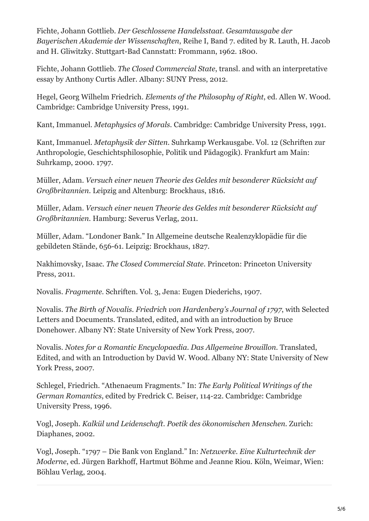Fichte, Johann Gottlieb. *Der Geschlossene Handelsstaat. Gesamtausgabe der Bayerischen Akademie der Wissenschaften*, Reihe I, Band 7. edited by R. Lauth, H. Jacob and H. Gliwitzky. Stuttgart-Bad Cannstatt: Frommann, 1962. 1800.

Fichte, Johann Gottlieb. *The Closed Commercial State*, transl. and with an interpretative essay by Anthony Curtis Adler. Albany: SUNY Press, 2012.

Hegel, Georg Wilhelm Friedrich. *Elements of the Philosophy of Right*, ed. Allen W. Wood. Cambridge: Cambridge University Press, 1991.

Kant, Immanuel. *Metaphysics of Morals.* Cambridge: Cambridge University Press, 1991.

Kant, Immanuel. *Metaphysik der Sitten*. Suhrkamp Werkausgabe. Vol. 12 (Schriften zur Anthropologie, Geschichtsphilosophie, Politik und Pädagogik). Frankfurt am Main: Suhrkamp, 2000. 1797.

Müller, Adam. *Versuch einer neuen Theorie des Geldes mit besonderer Rücksicht auf Großbritannien*. Leipzig and Altenburg: Brockhaus, 1816.

Müller, Adam. *Versuch einer neuen Theorie des Geldes mit besonderer Rücksicht auf Großbritannien.* Hamburg: Severus Verlag, 2011.

Müller, Adam. "Londoner Bank." In Allgemeine deutsche Realenzyklopädie für die gebildeten Stände, 656-61. Leipzig: Brockhaus, 1827.

Nakhimovsky, Isaac. *The Closed Commercial State.* Princeton: Princeton University Press, 2011.

Novalis. *Fragmente.* Schriften. Vol. 3, Jena: Eugen Diederichs, 1907.

Novalis. *The Birth of Novalis. Friedrich von Hardenberg's Journal of 1797*, with Selected Letters and Documents. Translated, edited, and with an introduction by Bruce Donehower. Albany NY: State University of New York Press, 2007.

Novalis. *Notes for a Romantic Encyclopaedia. Das Allgemeine Brouillon.* Translated, Edited, and with an Introduction by David W. Wood. Albany NY: State University of New York Press, 2007.

Schlegel, Friedrich. "Athenaeum Fragments." In: *The Early Political Writings of the German Romantics*, edited by Fredrick C. Beiser, 114-22. Cambridge: Cambridge University Press, 1996.

Vogl, Joseph. *Kalkül und Leidenschaft. Poetik des ökonomischen Menschen.* Zurich: Diaphanes, 2002.

Vogl, Joseph. "1797 – Die Bank von England." In: *Netzwerke. Eine Kulturtechnik der Moderne*, ed. Jürgen Barkhoff, Hartmut Böhme and Jeanne Riou. Köln, Weimar, Wien: Böhlau Verlag, 2004.